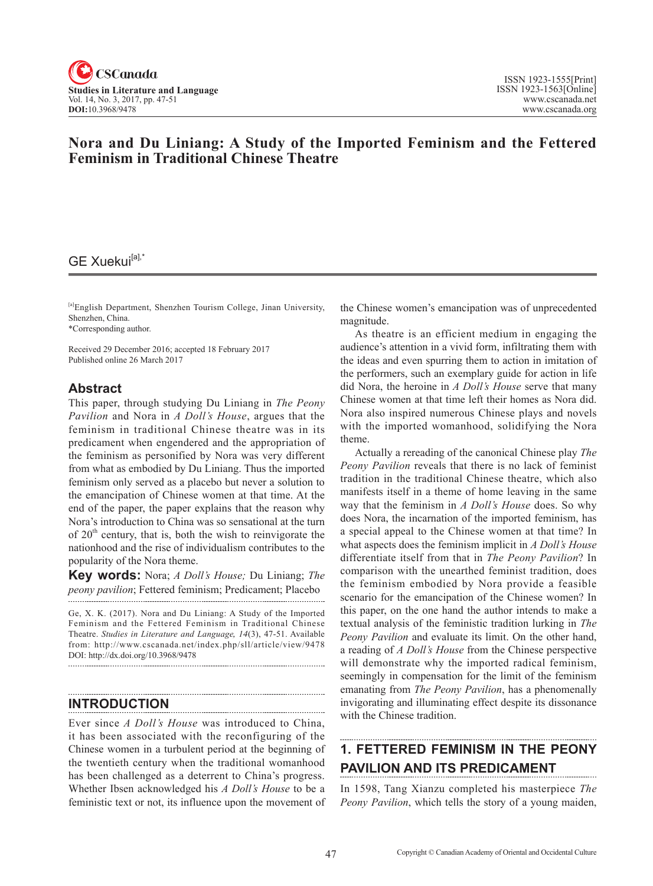

## **Nora and Du Liniang: A Study of the Imported Feminism and the Fettered Feminism in Traditional Chinese Theatre**

# GE Xuekui<sup>[a],'</sup>

[a]English Department, Shenzhen Tourism College, Jinan University, Shenzhen, China.

\*Corresponding author.

Received 29 December 2016; accepted 18 February 2017 Published online 26 March 2017

### **Abstract**

This paper, through studying Du Liniang in *The Peony Pavilion* and Nora in *A Doll's House*, argues that the feminism in traditional Chinese theatre was in its predicament when engendered and the appropriation of the feminism as personified by Nora was very different from what as embodied by Du Liniang. Thus the imported feminism only served as a placebo but never a solution to the emancipation of Chinese women at that time. At the end of the paper, the paper explains that the reason why Nora's introduction to China was so sensational at the turn of  $20<sup>th</sup>$  century, that is, both the wish to reinvigorate the nationhood and the rise of individualism contributes to the popularity of the Nora theme.

**Key words:** Nora; *A Doll's House;* Du Liniang; *The peony pavilion*; Fettered feminism; Predicament; Placebo

Ge, X. K. (2017). Nora and Du Liniang: A Study of the Imported Feminism and the Fettered Feminism in Traditional Chinese Theatre. *Studies in Literature and Language*, <sup>14</sup>(3), 47-51. Available from: http://www.cscanada.net/index.php/sll/article/view/9478 DOI: http://dx.doi.org/10.3968/9478

## **INTRODUCTION**

Ever since *A Doll's House* was introduced to China, it has been associated with the reconfiguring of the Chinese women in a turbulent period at the beginning of the twentieth century when the traditional womanhood has been challenged as a deterrent to China's progress. Whether Ibsen acknowledged his *A Doll's House* to be a feministic text or not, its influence upon the movement of

the Chinese women's emancipation was of unprecedented magnitude.

As theatre is an efficient medium in engaging the audience's attention in a vivid form, infiltrating them with the ideas and even spurring them to action in imitation of the performers, such an exemplary guide for action in life did Nora, the heroine in *A Doll's House* serve that many Chinese women at that time left their homes as Nora did. Nora also inspired numerous Chinese plays and novels with the imported womanhood, solidifying the Nora theme.

Actually a rereading of the canonical Chinese play *The Peony Pavilion* reveals that there is no lack of feminist tradition in the traditional Chinese theatre, which also manifests itself in a theme of home leaving in the same way that the feminism in *A Doll's House* does. So why does Nora, the incarnation of the imported feminism, has a special appeal to the Chinese women at that time? In what aspects does the feminism implicit in *A Doll's House* differentiate itself from that in *The Peony Pavilion*? In comparison with the unearthed feminist tradition, does the feminism embodied by Nora provide a feasible scenario for the emancipation of the Chinese women? In this paper, on the one hand the author intends to make a textual analysis of the feministic tradition lurking in *The Peony Pavilion* and evaluate its limit. On the other hand, a reading of *A Doll's House* from the Chinese perspective will demonstrate why the imported radical feminism, seemingly in compensation for the limit of the feminism emanating from *The Peony Pavilion*, has a phenomenally invigorating and illuminating effect despite its dissonance with the Chinese tradition.

# **1. FETTERED FEMINISM IN THE PEONY PAVILION AND ITS PREDICAMENT**

In 1598, Tang Xianzu completed his masterpiece *The Peony Pavilion*, which tells the story of a young maiden,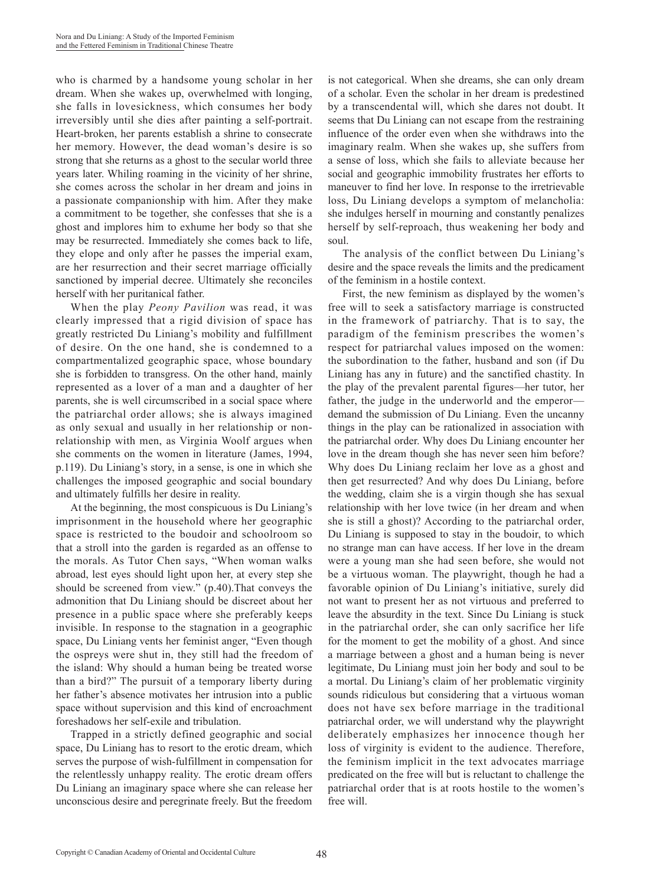who is charmed by a handsome young scholar in her dream. When she wakes up, overwhelmed with longing, she falls in lovesickness, which consumes her body irreversibly until she dies after painting a self-portrait. Heart-broken, her parents establish a shrine to consecrate her memory. However, the dead woman's desire is so strong that she returns as a ghost to the secular world three years later. Whiling roaming in the vicinity of her shrine, she comes across the scholar in her dream and joins in a passionate companionship with him. After they make a commitment to be together, she confesses that she is a ghost and implores him to exhume her body so that she may be resurrected. Immediately she comes back to life, they elope and only after he passes the imperial exam, are her resurrection and their secret marriage officially sanctioned by imperial decree. Ultimately she reconciles herself with her puritanical father.

When the play *Peony Pavilion* was read, it was clearly impressed that a rigid division of space has greatly restricted Du Liniang's mobility and fulfillment of desire. On the one hand, she is condemned to a compartmentalized geographic space, whose boundary she is forbidden to transgress. On the other hand, mainly represented as a lover of a man and a daughter of her parents, she is well circumscribed in a social space where the patriarchal order allows; she is always imagined as only sexual and usually in her relationship or nonrelationship with men, as Virginia Woolf argues when she comments on the women in literature (James, 1994, p.119). Du Liniang's story, in a sense, is one in which she challenges the imposed geographic and social boundary and ultimately fulfills her desire in reality.

At the beginning, the most conspicuous is Du Liniang's imprisonment in the household where her geographic space is restricted to the boudoir and schoolroom so that a stroll into the garden is regarded as an offense to the morals. As Tutor Chen says, "When woman walks abroad, lest eyes should light upon her, at every step she should be screened from view." (p.40).That conveys the admonition that Du Liniang should be discreet about her presence in a public space where she preferably keeps invisible. In response to the stagnation in a geographic space, Du Liniang vents her feminist anger, "Even though the ospreys were shut in, they still had the freedom of the island: Why should a human being be treated worse than a bird?" The pursuit of a temporary liberty during her father's absence motivates her intrusion into a public space without supervision and this kind of encroachment foreshadows her self-exile and tribulation.

Trapped in a strictly defined geographic and social space, Du Liniang has to resort to the erotic dream, which serves the purpose of wish-fulfillment in compensation for the relentlessly unhappy reality. The erotic dream offers Du Liniang an imaginary space where she can release her unconscious desire and peregrinate freely. But the freedom

is not categorical. When she dreams, she can only dream of a scholar. Even the scholar in her dream is predestined by a transcendental will, which she dares not doubt. It seems that Du Liniang can not escape from the restraining influence of the order even when she withdraws into the imaginary realm. When she wakes up, she suffers from a sense of loss, which she fails to alleviate because her social and geographic immobility frustrates her efforts to maneuver to find her love. In response to the irretrievable loss, Du Liniang develops a symptom of melancholia: she indulges herself in mourning and constantly penalizes herself by self-reproach, thus weakening her body and soul.

The analysis of the conflict between Du Liniang's desire and the space reveals the limits and the predicament of the feminism in a hostile context.

First, the new feminism as displayed by the women's free will to seek a satisfactory marriage is constructed in the framework of patriarchy. That is to say, the paradigm of the feminism prescribes the women's respect for patriarchal values imposed on the women: the subordination to the father, husband and son (if Du Liniang has any in future) and the sanctified chastity. In the play of the prevalent parental figures—her tutor, her father, the judge in the underworld and the emperor demand the submission of Du Liniang. Even the uncanny things in the play can be rationalized in association with the patriarchal order. Why does Du Liniang encounter her love in the dream though she has never seen him before? Why does Du Liniang reclaim her love as a ghost and then get resurrected? And why does Du Liniang, before the wedding, claim she is a virgin though she has sexual relationship with her love twice (in her dream and when she is still a ghost)? According to the patriarchal order, Du Liniang is supposed to stay in the boudoir, to which no strange man can have access. If her love in the dream were a young man she had seen before, she would not be a virtuous woman. The playwright, though he had a favorable opinion of Du Liniang's initiative, surely did not want to present her as not virtuous and preferred to leave the absurdity in the text. Since Du Liniang is stuck in the patriarchal order, she can only sacrifice her life for the moment to get the mobility of a ghost. And since a marriage between a ghost and a human being is never legitimate, Du Liniang must join her body and soul to be a mortal. Du Liniang's claim of her problematic virginity sounds ridiculous but considering that a virtuous woman does not have sex before marriage in the traditional patriarchal order, we will understand why the playwright deliberately emphasizes her innocence though her loss of virginity is evident to the audience. Therefore, the feminism implicit in the text advocates marriage predicated on the free will but is reluctant to challenge the patriarchal order that is at roots hostile to the women's free will.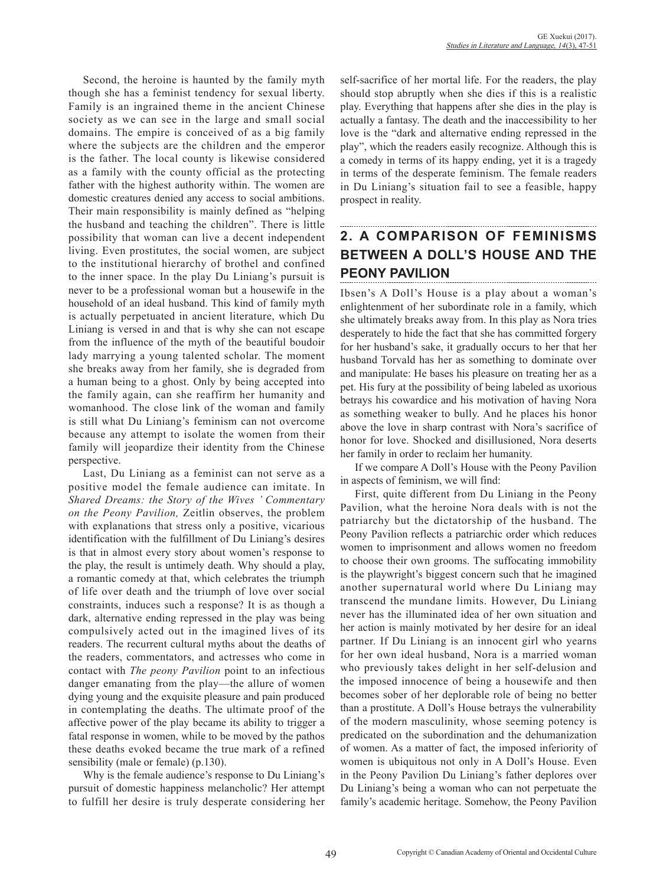Second, the heroine is haunted by the family myth though she has a feminist tendency for sexual liberty. Family is an ingrained theme in the ancient Chinese society as we can see in the large and small social domains. The empire is conceived of as a big family where the subjects are the children and the emperor is the father. The local county is likewise considered as a family with the county official as the protecting father with the highest authority within. The women are domestic creatures denied any access to social ambitions. Their main responsibility is mainly defined as "helping the husband and teaching the children". There is little possibility that woman can live a decent independent living. Even prostitutes, the social women, are subject to the institutional hierarchy of brothel and confined to the inner space. In the play Du Liniang's pursuit is never to be a professional woman but a housewife in the household of an ideal husband. This kind of family myth is actually perpetuated in ancient literature, which Du Liniang is versed in and that is why she can not escape from the influence of the myth of the beautiful boudoir lady marrying a young talented scholar. The moment she breaks away from her family, she is degraded from a human being to a ghost. Only by being accepted into the family again, can she reaffirm her humanity and womanhood. The close link of the woman and family is still what Du Liniang's feminism can not overcome because any attempt to isolate the women from their family will jeopardize their identity from the Chinese perspective.

Last, Du Liniang as a feminist can not serve as a positive model the female audience can imitate. In *Shared Dreams: the Story of the Wives ' Commentary on the Peony Pavilion,* Zeitlin observes, the problem with explanations that stress only a positive, vicarious identification with the fulfillment of Du Liniang's desires is that in almost every story about women's response to the play, the result is untimely death. Why should a play, a romantic comedy at that, which celebrates the triumph of life over death and the triumph of love over social constraints, induces such a response? It is as though a dark, alternative ending repressed in the play was being compulsively acted out in the imagined lives of its readers. The recurrent cultural myths about the deaths of the readers, commentators, and actresses who come in contact with *The peony Pavilion* point to an infectious danger emanating from the play—the allure of women dying young and the exquisite pleasure and pain produced in contemplating the deaths. The ultimate proof of the affective power of the play became its ability to trigger a fatal response in women, while to be moved by the pathos these deaths evoked became the true mark of a refined sensibility (male or female) (p.130).

Why is the female audience's response to Du Liniang's pursuit of domestic happiness melancholic? Her attempt to fulfill her desire is truly desperate considering her

self-sacrifice of her mortal life. For the readers, the play should stop abruptly when she dies if this is a realistic play. Everything that happens after she dies in the play is actually a fantasy. The death and the inaccessibility to her love is the "dark and alternative ending repressed in the play", which the readers easily recognize. Although this is a comedy in terms of its happy ending, yet it is a tragedy in terms of the desperate feminism. The female readers in Du Liniang's situation fail to see a feasible, happy prospect in reality.

### **2. A COMPARISON OF FEMINISMS BETWEEN A DOLL'S HOUSE AND THE PEONY PAVILION**

Ibsen's A Doll's House is a play about a woman's enlightenment of her subordinate role in a family, which she ultimately breaks away from. In this play as Nora tries desperately to hide the fact that she has committed forgery for her husband's sake, it gradually occurs to her that her husband Torvald has her as something to dominate over and manipulate: He bases his pleasure on treating her as a pet. His fury at the possibility of being labeled as uxorious betrays his cowardice and his motivation of having Nora as something weaker to bully. And he places his honor above the love in sharp contrast with Nora's sacrifice of honor for love. Shocked and disillusioned, Nora deserts her family in order to reclaim her humanity.

If we compare A Doll's House with the Peony Pavilion in aspects of feminism, we will find:

First, quite different from Du Liniang in the Peony Pavilion, what the heroine Nora deals with is not the patriarchy but the dictatorship of the husband. The Peony Pavilion reflects a patriarchic order which reduces women to imprisonment and allows women no freedom to choose their own grooms. The suffocating immobility is the playwright's biggest concern such that he imagined another supernatural world where Du Liniang may transcend the mundane limits. However, Du Liniang never has the illuminated idea of her own situation and her action is mainly motivated by her desire for an ideal partner. If Du Liniang is an innocent girl who yearns for her own ideal husband, Nora is a married woman who previously takes delight in her self-delusion and the imposed innocence of being a housewife and then becomes sober of her deplorable role of being no better than a prostitute. A Doll's House betrays the vulnerability of the modern masculinity, whose seeming potency is predicated on the subordination and the dehumanization of women. As a matter of fact, the imposed inferiority of women is ubiquitous not only in A Doll's House. Even in the Peony Pavilion Du Liniang's father deplores over Du Liniang's being a woman who can not perpetuate the family's academic heritage. Somehow, the Peony Pavilion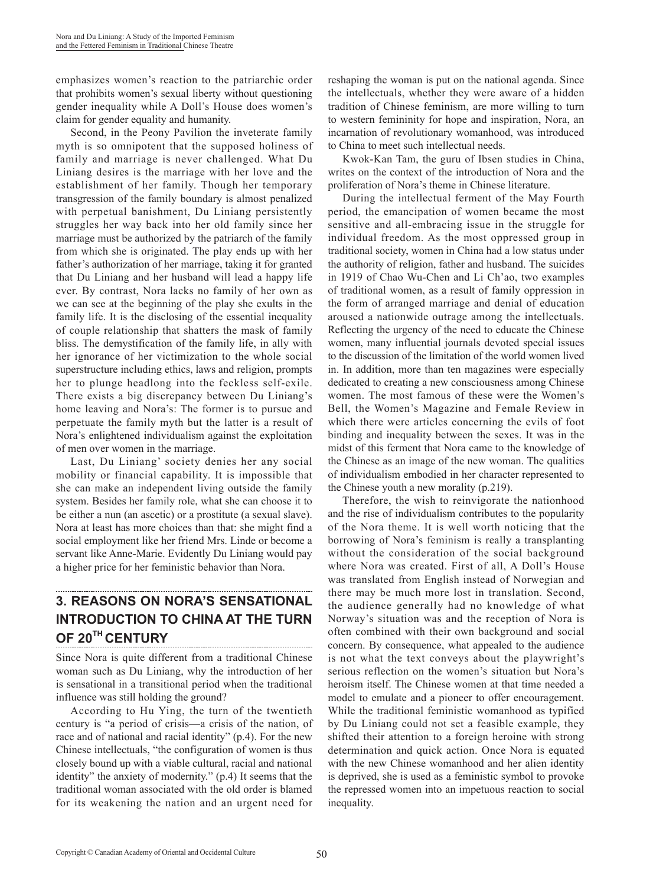emphasizes women's reaction to the patriarchic order that prohibits women's sexual liberty without questioning gender inequality while A Doll's House does women's claim for gender equality and humanity.

Second, in the Peony Pavilion the inveterate family myth is so omnipotent that the supposed holiness of family and marriage is never challenged. What Du Liniang desires is the marriage with her love and the establishment of her family. Though her temporary transgression of the family boundary is almost penalized with perpetual banishment, Du Liniang persistently struggles her way back into her old family since her marriage must be authorized by the patriarch of the family from which she is originated. The play ends up with her father's authorization of her marriage, taking it for granted that Du Liniang and her husband will lead a happy life ever. By contrast, Nora lacks no family of her own as we can see at the beginning of the play she exults in the family life. It is the disclosing of the essential inequality of couple relationship that shatters the mask of family bliss. The demystification of the family life, in ally with her ignorance of her victimization to the whole social superstructure including ethics, laws and religion, prompts her to plunge headlong into the feckless self-exile. There exists a big discrepancy between Du Liniang's home leaving and Nora's: The former is to pursue and perpetuate the family myth but the latter is a result of Nora's enlightened individualism against the exploitation of men over women in the marriage.

Last, Du Liniang' society denies her any social mobility or financial capability. It is impossible that she can make an independent living outside the family system. Besides her family role, what she can choose it to be either a nun (an ascetic) or a prostitute (a sexual slave). Nora at least has more choices than that: she might find a social employment like her friend Mrs. Linde or become a servant like Anne-Marie. Evidently Du Liniang would pay a higher price for her feministic behavior than Nora.

# **3. REASONS ON NORA'S SENSATIONAL INTRODUCTION TO CHINA AT THE TURN OF 20TH CENTURY**

Since Nora is quite different from a traditional Chinese woman such as Du Liniang, why the introduction of her is sensational in a transitional period when the traditional influence was still holding the ground?

According to Hu Ying, the turn of the twentieth century is "a period of crisis—a crisis of the nation, of race and of national and racial identity" (p.4). For the new Chinese intellectuals, "the configuration of women is thus closely bound up with a viable cultural, racial and national identity" the anxiety of modernity." (p.4) It seems that the traditional woman associated with the old order is blamed for its weakening the nation and an urgent need for reshaping the woman is put on the national agenda. Since the intellectuals, whether they were aware of a hidden tradition of Chinese feminism, are more willing to turn to western femininity for hope and inspiration, Nora, an incarnation of revolutionary womanhood, was introduced to China to meet such intellectual needs.

Kwok-Kan Tam, the guru of Ibsen studies in China, writes on the context of the introduction of Nora and the proliferation of Nora's theme in Chinese literature.

During the intellectual ferment of the May Fourth period, the emancipation of women became the most sensitive and all-embracing issue in the struggle for individual freedom. As the most oppressed group in traditional society, women in China had a low status under the authority of religion, father and husband. The suicides in 1919 of Chao Wu-Chen and Li Ch'ao, two examples of traditional women, as a result of family oppression in the form of arranged marriage and denial of education aroused a nationwide outrage among the intellectuals. Reflecting the urgency of the need to educate the Chinese women, many influential journals devoted special issues to the discussion of the limitation of the world women lived in. In addition, more than ten magazines were especially dedicated to creating a new consciousness among Chinese women. The most famous of these were the Women's Bell, the Women's Magazine and Female Review in which there were articles concerning the evils of foot binding and inequality between the sexes. It was in the midst of this ferment that Nora came to the knowledge of the Chinese as an image of the new woman. The qualities of individualism embodied in her character represented to the Chinese youth a new morality (p.219).

Therefore, the wish to reinvigorate the nationhood and the rise of individualism contributes to the popularity of the Nora theme. It is well worth noticing that the borrowing of Nora's feminism is really a transplanting without the consideration of the social background where Nora was created. First of all, A Doll's House was translated from English instead of Norwegian and there may be much more lost in translation. Second, the audience generally had no knowledge of what Norway's situation was and the reception of Nora is often combined with their own background and social concern. By consequence, what appealed to the audience is not what the text conveys about the playwright's serious reflection on the women's situation but Nora's heroism itself. The Chinese women at that time needed a model to emulate and a pioneer to offer encouragement. While the traditional feministic womanhood as typified by Du Liniang could not set a feasible example, they shifted their attention to a foreign heroine with strong determination and quick action. Once Nora is equated with the new Chinese womanhood and her alien identity is deprived, she is used as a feministic symbol to provoke the repressed women into an impetuous reaction to social inequality.